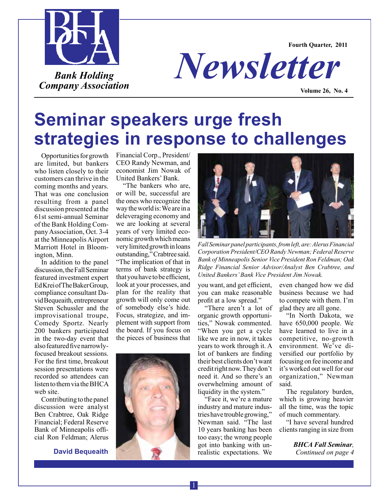



*Newsletter*

**Volume 26, No. 4**

# **Seminar speakers urge fresh strategies in response to challenges**

Opportunities for growth are limited, but bankers who listen closely to their customers can thrive in the coming months and years. That was one conclusion resulting from a panel discussion presented at the 61st semi-annual Seminar of the Bank Holding Company Association, Oct. 3-4 at the Minneapolis Airport Marriott Hotel in Bloomington, Minn.

In addition to the panel discussion, the Fall Seminar featured investment expert Ed Krei of The Baker Group, compliance consultant David Bequeaith, entrepreneur Steven Schussler and the improvisational troupe, Comedy Sportz. Nearly 200 bankers participated in the two-day event that also featured five narrowlyfocused breakout sessions. For the first time, breakout session presentations were recorded so attendees can listen to them via the BHCA web site.

Contributing to the panel discussion were analyst Ben Crabtree, Oak Ridge Financial; Federal Reserve Bank of Minneapolis official Ron Feldman; Alerus

**David Bequeaith**

Financial Corp., President/ CEO Randy Newman, and economist Jim Nowak of United Bankers' Bank.

"The bankers who are, or will be, successful are the ones who recognize the way the world is: We are in a deleveraging economy and we are looking at several years of very limited economic growth which means very limited growth in loans outstanding," Crabtree said. "The implication of that in terms of bank strategy is that you have to be efficient, look at your processes, and plan for the reality that growth will only come out of somebody else's hide. Focus, strategize, and implement with support from the board. If you focus on the pieces of business that





*Fall Seminar panel participants, from left, are: Alerus Financial Corporation President/CEO Randy Newman; Federal Reserve Bank of Minneapolis Senior Vice President Ron Feldman; Oak Ridge Financial Senior Advisor/Analyst Ben Crabtree, and United Bankers' Bank Vice President Jim Nowak.*

you want, and get efficient, you can make reasonable profit at a low spread."

"There aren't a lot of organic growth opportunities," Nowak commented. "When you get a cycle like we are in now, it takes years to work through it. A lot of bankers are finding their best clients don't want credit right now. They don't need it. And so there's an overwhelming amount of liquidity in the system."

"Face it, we're a mature industry and mature industries have trouble growing," Newman said. "The last 10 years banking has been too easy; the wrong people got into banking with unrealistic expectations. We

even changed how we did business because we had to compete with them. I'm glad they are all gone.

"In North Dakota, we have 650,000 people. We have learned to live in a competitive, no-growth environment. We've diversified our portfolio by focusing on fee income and it's worked out well for our organization," Newman said.

The regulatory burden, which is growing heavier all the time, was the topic of much commentary.

"I have several hundred clients ranging in size from

> *BHCA Fall Seminar, Continued on page 4*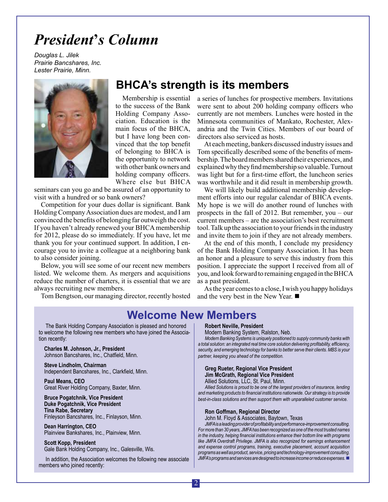## *President***'***s Column*

*Douglas L. Jilek Prairie Bancshares, Inc. Lester Prairie, Minn.*



## **BHCA's strength is its members**

Membership is essential to the success of the Bank Holding Company Association. Education is the main focus of the BHCA, but I have long been convinced that the top benefit of belonging to BHCA is the opportunity to network with other bank owners and holding company officers. Where else but BHCA

seminars can you go and be assured of an opportunity to visit with a hundred or so bank owners?

Competition for your dues dollar is significant. Bank Holding Company Association dues are modest, and I am convinced the benefits of belonging far outweigh the cost. If you haven't already renewed your BHCA membership for 2012, please do so immediately. If you have, let me thank you for your continued support. In addition, I encourage you to invite a colleague at a neighboring bank to also consider joining.

Below, you will see some of our recent new members listed. We welcome them. As mergers and acquisitions reduce the number of charters, it is essential that we are always recruiting new members.

Tom Bengtson, our managing director, recently hosted

a series of lunches for prospective members. Invitations were sent to about 200 holding company officers who currently are not members. Lunches were hosted in the Minnesota communities of Mankato, Rochester, Alexandria and the Twin Cities. Members of our board of directors also serviced as hosts.

At each meeting, bankers discussed industry issues and Tom specifically described some of the benefits of membership. The board members shared their experiences, and explained why they find membership so valuable. Turnout was light but for a first-time effort, the luncheon series was worthwhile and it did result in membership growth.

We will likely build additional membership development efforts into our regular calendar of BHCA events. My hope is we will do another round of lunches with prospects in the fall of 2012. But remember, you – our current members – are the association's best recruitment tool. Talk up the association to your friends in the industry and invite them to join if they are not already members.

At the end of this month, I conclude my presidency of the Bank Holding Company Association. It has been an honor and a pleasure to serve this industry from this position. I appreciate the support I received from all of you, and look forward to remaining engaged in the BHCA as a past president.

As the year comes to a close, I wish you happy holidays and the very best in the New Year.  $\blacksquare$ 

## **Welcome New Members**

The Bank Holding Company Association is pleased and honored to welcome the following new members who have joined the Association recently:

**Charles M. Johnson, Jr., President**  Johnson Bancshares, Inc., Chatfield, Minn.

**Steve Lindholm, Chairman** Independent Bancshares, Inc., Clarkfield, Minn.

**Paul Means, CEO** Great River Holding Company, Baxter, Minn.

**Bruce Pogatchnik, Vice President Duke Pogatchnik, Vice President Tina Rabe, Secretary** Finleyson Bancshares, Inc., Finlayson, Minn.

**Dean Harrington, CEO** Plainview Bankshares, Inc., Plainview, Minn.

**Scott Kopp, President** Gale Bank Holding Company, Inc., Galesville, Wis.

In addition, the Association welcomes the following new associate members who joined recently:

#### **Robert Neville, President**

Modern Banking System, Ralston, Neb.

*Modern Banking Systems is uniquely positioned to supply community banks with a total solution: an integrated real time core solution delivering profitability, efficiency, security, and emerging technology for banks to better serve their clients. MBS is your partner, keeping you ahead of the competition.* 

## **Greg Rueter, Regional Vice President Jim McGrath, Regional Vice President**

Allied Solutions, LLC, St. Paul, Minn.

*Allied Solutions is proud to be one of the largest providers of insurance, lending and marketing products to financial institutions nationwide. Our strategy is to provide best-in-class solutions and then support them with unparalleled customer service.* 

#### **Ron Goffman, Regional Director**

John M. Floyd & Associates, Baytown, Texas

*JMFA is a leading provider of profitability and performance-improvement consulting. For more than 30 years, JMFA has been recognized as one of the most trusted names in the industry, helping financial institutions enhance their bottom line with programs like JMFA Overdraft Privilege. JMFA is also recognized for earnings enhancement and expense control programs, training, executive placement, account acquisition programs as well as product, service, pricing and technology-improvement consulting. JMFA's programs and services are designed to increase income or reduce expenses.* ■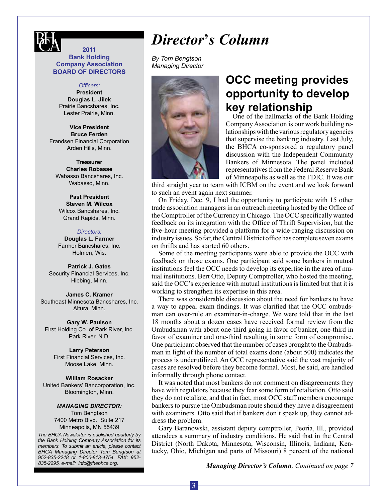

## **2011 Bank Holding Company Association BOARD OF DIRECTORS**

#### *Officers:*

**President Douglas L. Jilek** Prairie Bancshares, Inc. Lester Prairie, Minn.

**Vice President Bruce Ferden** Frandsen Financial Corporation Arden Hills, Minn.

**Treasurer Charles Robasse** Wabasso Bancshares, Inc. Wabasso, Minn.

**Past President Steven M. Wilcox** Wilcox Bancshares, Inc. Grand Rapids, Minn.

#### *Directors:*

**Douglas L. Farmer** Farmer Bancshares, Inc. Holmen, Wis.

**Patrick J. Gates** Security Financial Services, Inc. Hibbing, Minn.

**James C. Kramer** Southeast Minnesota Bancshares, Inc. Altura, Minn.

**Gary W. Paulson** First Holding Co. of Park River, Inc. Park River, N.D.

#### **Larry Peterson**

First Financial Services, Inc. Moose Lake, Minn.

**William Rosacker** United Bankers' Bancorporation, Inc. Bloomington, Minn.

#### *Managing DIRECTOR:*

Tom Bengtson 7400 Metro Blvd., Suite 217 Minneapolis, MN 55439

*The BHCA Newsletter is published quarterly by the Bank Holding Company Association for its members. To submit an article, please contact BHCA Managing Director Tom Bengtson at 952-835-2248 or 1-800-813-4754. FAX: 952- 835-2295, e-mail: info@thebhca.org*.

## *Director***'***s Column*

*By Tom Bengtson Managing Director*



## **OCC meeting provides opportunity to develop key relationship**

One of the hallmarks of the Bank Holding Company Association is our work building relationships with the various regulatory agencies that supervise the banking industry. Last July, the BHCA co-sponsored a regulatory panel discussion with the Independent Community Bankers of Minnesota. The panel included representatives from the Federal Reserve Bank of Minneapolis as well as the FDIC. It was our

third straight year to team with ICBM on the event and we look forward to such an event again next summer.

On Friday, Dec. 9, I had the opportunity to participate with 15 other trade association managers in an outreach meeting hosted by the Office of the Comptroller of the Currency in Chicago. The OCC specifically wanted feedback on its integration with the Office of Thrift Supervision, but the five-hour meeting provided a platform for a wide-ranging discussion on industry issues. So far, the Central District office has complete seven exams on thrifts and has started 60 others.

Some of the meeting participants were able to provide the OCC with feedback on those exams. One participant said some bankers in mutual institutions feel the OCC needs to develop its expertise in the area of mutual institutions. Bert Otto, Deputy Comptroller, who hosted the meeting, said the OCC's experience with mutual institutions is limited but that it is working to strengthen its expertise in this area.

There was considerable discussion about the need for bankers to have a way to appeal exam findings. It was clarified that the OCC ombudsman can over-rule an examiner-in-charge. We were told that in the last 18 months about a dozen cases have received formal review from the Ombudsman with about one-third going in favor of banker, one-third in favor of examiner and one-third resulting in some form of compromise. One participant observed that the number of cases brought to the Ombudsman in light of the number of total exams done (about 500) indicates the process is underutilized. An OCC representative said the vast majority of cases are resolved before they become formal. Most, he said, are handled informally through phone contact.

It was noted that most bankers do not comment on disagreements they have with regulators because they fear some form of retaliation. Otto said they do not retaliate, and that in fact, most OCC staff members encourage bankers to pursue the Ombudsman route should they have a disagreement with examiners. Otto said that if bankers don't speak up, they cannot address the problem.

Gary Baranowski, assistant deputy comptroller, Peoria, Ill., provided attendees a summary of industry conditions. He said that in the Central District (North Dakota, Minnesota, Wisconsin, Illinois, Indiana, Kentucky, Ohio, Michigan and parts of Missouri) 8 percent of the national

*Managing Director's Column, Continued on page 7*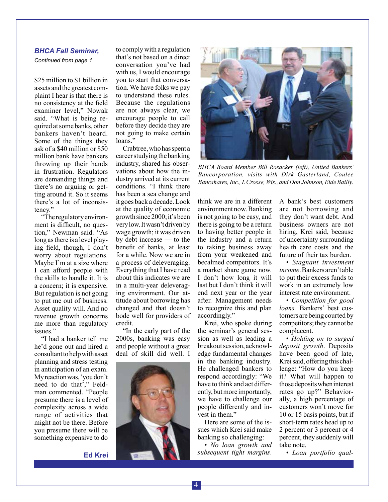#### *BHCA Fall Seminar,*

*Continued from page 1*

\$25 million to \$1 billion in assets and the greatest complaint I hear is that there is no consistency at the field examiner level," Nowak said. "What is being required at some banks, other bankers haven't heard. Some of the things they ask of a \$40 million or \$50 million bank have bankers throwing up their hands in frustration. Regulators are demanding things and there's no arguing or getting around it. So it seems there's a lot of inconsistency."

"The regulatory environment is difficult, no question," Newman said. "As long as there is a level playing field, though, I don't worry about regulations. Maybe I'm at a size where I can afford people with the skills to handle it. It is a concern; it is expensive. But regulation is not going to put me out of business. Asset quality will. And no revenue growth concerns me more than regulatory issues."

"I had a banker tell me he'd gone out and hired a consultant to help with asset planning and stress testing in anticipation of an exam. My reaction was, 'you don't need to do that'," Feldman commented. "People presume there is a level of complexity across a wide range of activities that might not be there. Before you presume there will be something expensive to do

**Ed Krei**

to comply with a regulation that's not based on a direct conversation you've had with us, I would encourage you to start that conversation. We have folks we pay to understand these rules. Because the regulations are not always clear, we encourage people to call before they decide they are not going to make certain loans."

Crabtree, who has spent a career studying the banking industry, shared his observations about how the industry arrived at its current conditions. "I think there has been a sea change and it goes back a decade. Look at the quality of economic growth since 2000; it's been very low. It wasn't driven by wage growth; it was driven by debt increase — to the benefit of banks, at least for a while. Now we are in a process of deleveraging. Everything that I have read about this indicates we are in a multi-year deleveraging environment. Our attitude about borrowing has changed and that doesn't bode well for providers of credit.

"In the early part of the 2000s, banking was easy and people without a great deal of skill did well. I





*BHCA Board Member Bill Rosacker (left), United Bankers' Bancorporation, visits with Dirk Gasterland, Coulee Bancshares, Inc., L Crosse, Wis., and Don Johnson, Eide Bailly.* 

think we are in a different environment now. Banking is not going to be easy, and there is going to be a return to having better people in the industry and a return to taking business away from your weakened and becalmed competitors. It's a market share game now. I don't how long it will last but I don't think it will end next year or the year after. Management needs to recognize this and plan accordingly."

Krei, who spoke during the seminar's general session as well as leading a breakout session, acknowledge fundamental changes in the banking industry. He challenged bankers to respond accordingly: "We have to think and act differently, but more importantly, we have to challenge our people differently and invest in them."

Here are some of the issues which Krei said make banking so challenging:

• *No loan growth and subsequent tight margins*.

A bank's best customers are not borrowing and they don't want debt. And business owners are not hiring, Krei said, because of uncertainty surrounding health care costs and the future of their tax burden.

• *Stagnant investment income*. Bankers aren't able to put their excess funds to work in an extremely low interest rate environment.

• *Competition for good loans.* Bankers' best customers are being courted by competitors; they cannot be complacent.

• *Holding on to surged deposit growth*. Deposits have been good of late, Krei said, offering this challenge: "How do you keep it? What will happen to those deposits when interest rates go up?" Behaviorally, a high percentage of customers won't move for 10 or 15 basis points, but if short-term rates head up to 2 percent or 3 percent or 4 percent, they suddenly will take note.

• *Loan portfolio qual-*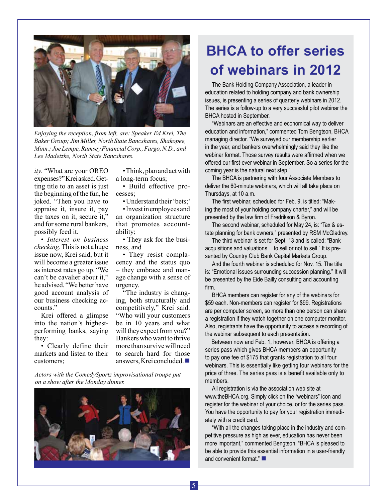

*Enjoying the reception, from left, are: Speaker Ed Krei, The Baker Group; Jim Miller, North State Bancshares, Shakopee, Minn.; Joe Lempe, Ramsey Financial Corp., Fargo, N.D., and Lee Madetzke, North State Bancshares.* 

*ity.* "What are your OREO expenses?" Krei asked. Getting title to an asset is just the beginning of the fun, he joked. "Then you have to appraise it, insure it, pay the taxes on it, secure it," and for some rural bankers, possibly feed it.

• *Interest on business checking*. This is not a huge issue now, Krei said, but it will become a greater issue as interest rates go up. "We can't be cavalier about it," he advised. "We better have good account analysis of our business checking accounts."

Krei offered a glimpse into the nation's highestperforming banks, saying they:

• Clearly define their markets and listen to their customers;

• Think, plan and act with a long-term focus;

• Build effective processes;

• Understand their 'bets;' • Invest in employees and an organization structure that promotes accountability;

• They ask for the business, and

• They resist complacency and the status quo – they embrace and manage change with a sense of urgency.

"The industry is changing, both structurally and competitively," Krei said. "Who will your customers be in 10 years and what will they expect from you?" Bankers who want to thrive more than survive will need to search hard for those answers, Krei concluded.  $\blacksquare$ 

*Actors with the ComedySportz improvisational troupe put on a show after the Monday dinner.*



## **BHCA to offer series of webinars in 2012**

The Bank Holding Company Association, a leader in education related to holding company and bank ownership issues, is presenting a series of quarterly webinars in 2012. The series is a follow-up to a very successful pilot webinar the BHCA hosted in September.

"Webinars are an effective and economical way to deliver education and information," commented Tom Bengtson, BHCA managing director. "We surveyed our membership earlier in the year, and bankers overwhelmingly said they like the webinar format. Those survey results were affirmed when we offered our first-ever webinar in September. So a series for the coming year is the natural next step."

The BHCA is partnering with four Associate Members to deliver the 60-minute webinars, which will all take place on Thursdays, at 10 a.m.

The first webinar, scheduled for Feb. 9, is titled: "Making the most of your holding company charter," and will be presented by the law firm of Fredrikson & Byron.

The second webinar, scheduled for May 24, is: "Tax & estate planning for bank owners," presented by RSM McGladrey.

The third webinar is set for Sept. 13 and is called: "Bank acquisitions and valuations… to sell or not to sell." It is presented by Country Club Bank Capital Markets Group.

And the fourth webinar is scheduled for Nov. 15. The title is: "Emotional issues surrounding succession planning." It will be presented by the Eide Bailly consulting and accounting firm.

BHCA members can register for any of the webinars for \$59 each. Non-members can register for \$99. Registrations are per computer screen, so more than one person can share a registration if they watch together on one computer monitor. Also, registrants have the opportunity to access a recording of the webinar subsequent to each presentation.

Between now and Feb. 1, however, BHCA is offering a series pass which gives BHCA members an opportunity to pay one fee of \$175 that grants registration to all four webinars. This is essentially like getting four webinars for the price of three. The series pass is a benefit available only to members.

All registration is via the association web site at www.theBHCA.org. Simply click on the "webinars" icon and register for the webinar of your choice, or for the series pass. You have the opportunity to pay for your registration immediately with a credit card.

"With all the changes taking place in the industry and competitive pressure as high as ever, education has never been more important," commented Bengtson. "BHCA is pleased to be able to provide this essential information in a user-friendly and convenient format." $\blacksquare$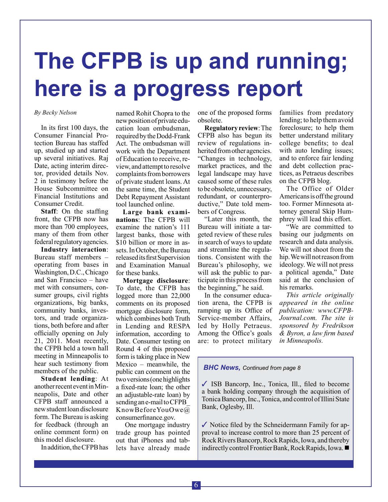# **The CFPB is up and running; here is a progress report**

In its first 100 days, the Consumer Financial Protection Bureau has staffed up, studied up and started up several initiatives. Raj Date, acting interim director, provided details Nov. 2 in testimony before the House Subcommittee on Financial Institutions and Consumer Credit.

**Staff**: On the staffing front, the CFPB now has more than 700 employees, many of them from other federal regulatory agencies.

**Industry interaction**: Bureau staff members – operating from bases in Washington, D.C., Chicago and San Francisco – have met with consumers, consumer groups, civil rights organizations, big banks, community banks, investors, and trade organizations, both before and after officially opening on July 21, 2011. Most recently, the CFPB held a town hall meeting in Minneapolis to hear such testimony from members of the public.

**Student lending**: At another recent event in Minneapolis, Date and other CFPB staff announced a new student loan disclosure form. The Bureau is asking for feedback (through an online comment form) on this model disclosure.

In addition, the CFPB has

*By Becky Nelson* **one one of the proposed forms one** one of the proposed forms named Rohit Chopra to the new position of private education loan ombudsman, required by the Dodd-Frank Act. The ombudsman will work with the Department of Education to receive, review, and attempt to resolve complaints from borrowers of private student loans. At the same time, the Student Debt Repayment Assistant tool launched online.

> **Large bank examinations**: The CFPB will examine the nation's 111 largest banks, those with \$10 billion or more in assets. In October, the Bureau released its first Supervision and Examination Manual for these banks.

> **Mortgage disclosure**: To date, the CFPB has logged more than 22,000 comments on its proposed mortgage disclosure form, which combines both Truth in Lending and RESPA information, according to Date. Consumer testing on Round 4 of this proposed form is taking place in New Mexico – meanwhile, the public can comment on the two versions (one highlights a fixed-rate loan; the other an adjustable-rate loan) by sending an e-mail to CFPB\_ KnowBeforeYouOwe@ consumerfinance.gov.

> One mortgage industry trade group has pointed out that iPhones and tablets have already made

obsolete.

**Regulatory review**: The CFPB also has begun its review of regulations inherited from other agencies. "Changes in technology, market practices, and the legal landscape may have caused some of these rules to be obsolete, unnecessary, redundant, or counterproductive," Date told members of Congress.

"Later this month, the Bureau will initiate a targeted review of these rules in search of ways to update and streamline the regulations. Consistent with the Bureau's philosophy, we will ask the public to participate in this process from the beginning," he said.

In the consumer education arena, the CFPB is ramping up its Office of Service-member Affairs, led by Holly Petraeus. Among the Office's goals are: to protect military families from predatory lending; to help them avoid foreclosure; to help them better understand military college benefits; to deal with auto lending issues; and to enforce fair lending and debt collection practices, as Petraeus describes on the CFPB blog.

The Office of Older Americans is off the ground too. Former Minnesota attorney general Skip Humphrey will lead this effort.

"We are committed to basing our judgments on research and data analysis. We will not shoot from the hip. We will not reason from ideology. We will not press a political agenda," Date said at the conclusion of his remarks.

*This article originally appeared in the online publication: www.CFPB-Journal.com. The site is sponsored by Fredrikson & Byron, a law firm based in Minneapolis.*

## *BHC News, Continued from page 8*

 $\checkmark$  ISB Bancorp, Inc., Tonica, Ill., filed to become a bank holding company through the acquisition of Tonica Bancorp, Inc., Tonica, and control of Illini State Bank, Oglesby, Ill.

 $\checkmark$  Notice filed by the Schneidermann Family for approval to increase control to more than 25 percent of Rock Rivers Bancorp, Rock Rapids, Iowa, and thereby indirectly control Frontier Bank, Rock Rapids, Iowa.  $\blacksquare$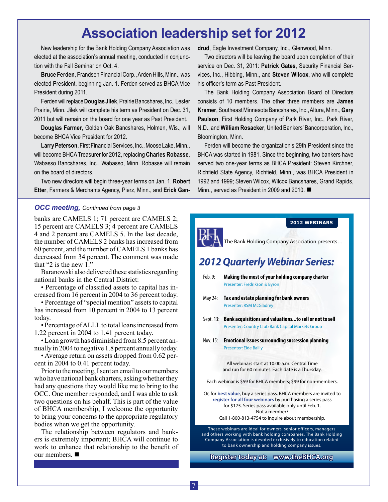## **Association leadership set for 2012**

New leadership for the Bank Holding Company Association was elected at the association's annual meeting, conducted in conjunction with the Fall Seminar on Oct. 4.

**Bruce Ferden**, Frandsen Financial Corp., Arden Hills, Minn., was elected President, beginning Jan. 1. Ferden served as BHCA Vice President during 2011.

Ferden will replace **Douglas Jilek**, Prairie Bancshares, Inc., Lester Prairie, Minn. Jilek will complete his term as President on Dec. 31, 2011 but will remain on the board for one year as Past President.

**Douglas Farmer**, Golden Oak Bancshares, Holmen, Wis., will become BHCA Vice President for 2012.

**Larry Peterson**, First Financial Services, Inc., Moose Lake, Minn., will become BHCA Treasurer for 2012, replacing **Charles Robasse**, Wabasso Bancshares, Inc., Wabasso, Minn. Robasse will remain on the board of directors.

Two new directors will begin three-year terms on Jan. 1. **Robert Etter**, Farmers & Merchants Agency, Pierz, Minn., and **Erick Gan-**

## *OCC meeting, Continued from page 3*

banks are CAMELS 1; 71 percent are CAMELS 2; 15 percent are CAMELS 3; 4 percent are CAMELS 4 and 2 percent are CAMELS 5. In the last decade, the number of CAMELS 2 banks has increased from 60 percent, and the number of CAMELS 1 banks has decreased from 34 percent. The comment was made that "2 is the new  $1$ ."

Baranowski also delivered these statistics regarding national banks in the Central District:

• Percentage of classified assets to capital has increased from 16 percent in 2004 to 36 percent today.

• Percentage of "special mention" assets to capital has increased from 10 percent in 2004 to 13 percent today.

• Percentage of ALLL to total loans increased from 1.22 percent in 2004 to 1.41 percent today.

• Loan growth has diminished from 8.5 percent annually in 2004 to negative 1.8 percent annually today.

• Average return on assets dropped from 0.62 percent in 2004 to 0.41 percent today.

Prior to the meeting, I sent an email to our members who have national bank charters, asking whether they had any questions they would like me to bring to the OCC. One member responded, and I was able to ask two questions on his behalf. This is part of the value of BHCA membership; I welcome the opportunity to bring your concerns to the appropriate regulatory bodies when we get the opportunity.

The relationship between regulators and bankers is extremely important; BHCA will continue to work to enhance that relationship to the benefit of our members.  $\blacksquare$ 

**drud**, Eagle Investment Company, Inc., Glenwood, Minn.

Two directors will be leaving the board upon completion of their service on Dec. 31, 2011: **Patrick Gates**, Security Financial Services, Inc., Hibbing, Minn., and **Steven Wilcox**, who will complete his officer's term as Past President.

The Bank Holding Company Association Board of Directors consists of 10 members. The other three members are **James Kramer**, Southeast Minnesota Bancshares, Inc., Altura, Minn., **Gary Paulson**, First Holding Company of Park River, Inc., Park River, N.D., and **William Rosacker**, United Bankers' Bancorporation, Inc., Bloomington, Minn.

Ferden will become the organization's 29th President since the BHCA was started in 1981. Since the beginning, two bankers have served two one-year terms as BHCA President: Steven Kirchner, Richfield State Agency, Richfield, Minn., was BHCA President in 1992 and 1999; Steven Wilcox, Wilcox Bancshares, Grand Rapids, Minn., served as President in 2009 and 2010.  $\blacksquare$ 

## *2012 Quarterly Webinar Series:* Feb. 9: **Making the most of your holding company charter** Presenter: Fredrikson & Byron May 24: **Tax and estate planning for bank owners** Presenter: RSM McGladrey Sept. 13: **Bank acquisitions and valuations...to sell or not to sell** Presenter: Country Club Bank Capital Markets Group Nov. 15: **Emotional issues surrounding succession planning** Presenter: Eide Bailly The Bank Holding Company Association presents… **2012 WEBINARS Register today at: www.theBHCA.org** All webinars start at 10:00 a.m. Central Time and run for 60 minutes. Each date is a Thursday. Each webinar is \$59 for BHCA members; \$99 for non-members. Or, for **best value**, buy a series pass. BHCA members are invited to **register for all four webinars** by purchasing a series pass for \$175. Series pass available only until Feb. 1. Not a member? Call 1-800-813-4754 to inquire about membership. These webinars are ideal for owners, senior officers, managers and others working with bank holding companies. The Bank Holding Company Association is devoted exclusively to education related to bank ownership and holding company issues.